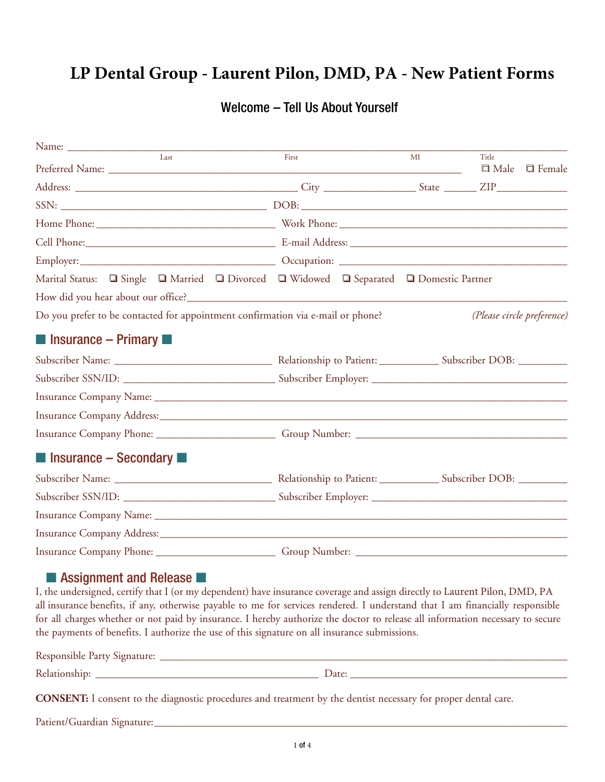## **LP Dental Group - Laurent Pilon, DMD, PA - New Patient Forms**

### Welcome – Tell Us About Yourself

| Last                                                                                                                                                                                                                          |  | First |  | MI | Title                      | $\Box$ Male $\Box$ Female |
|-------------------------------------------------------------------------------------------------------------------------------------------------------------------------------------------------------------------------------|--|-------|--|----|----------------------------|---------------------------|
|                                                                                                                                                                                                                               |  |       |  |    |                            |                           |
|                                                                                                                                                                                                                               |  |       |  |    |                            |                           |
|                                                                                                                                                                                                                               |  |       |  |    |                            |                           |
|                                                                                                                                                                                                                               |  |       |  |    |                            |                           |
| Cell Phone: Communication of the Communication of the Communication of the Communication of the Communication of the Communication of the Communication of the Communication of the Communication of the Communication of the |  |       |  |    |                            |                           |
|                                                                                                                                                                                                                               |  |       |  |    |                            |                           |
| Marital Status: Q Single Q Married Q Divorced Q Widowed Q Separated Q Domestic Partner                                                                                                                                        |  |       |  |    |                            |                           |
|                                                                                                                                                                                                                               |  |       |  |    |                            |                           |
| Do you prefer to be contacted for appointment confirmation via e-mail or phone?                                                                                                                                               |  |       |  |    | (Please circle preference) |                           |
| $\blacksquare$ Insurance – Primary $\blacksquare$                                                                                                                                                                             |  |       |  |    |                            |                           |
|                                                                                                                                                                                                                               |  |       |  |    |                            |                           |
|                                                                                                                                                                                                                               |  |       |  |    |                            |                           |
|                                                                                                                                                                                                                               |  |       |  |    |                            |                           |
|                                                                                                                                                                                                                               |  |       |  |    |                            |                           |
|                                                                                                                                                                                                                               |  |       |  |    |                            |                           |
| $\blacksquare$ Insurance – Secondary $\blacksquare$                                                                                                                                                                           |  |       |  |    |                            |                           |
|                                                                                                                                                                                                                               |  |       |  |    |                            |                           |
|                                                                                                                                                                                                                               |  |       |  |    |                            |                           |
|                                                                                                                                                                                                                               |  |       |  |    |                            |                           |
|                                                                                                                                                                                                                               |  |       |  |    |                            |                           |
|                                                                                                                                                                                                                               |  |       |  |    |                            |                           |

## ■ Assignment and Release

I, the undersigned, certify that I (or my dependent) have insurance coverage and assign directly to Laurent Pilon, DMD, PA all insurance benefits, if any, otherwise payable to me for services rendered. I understand that I am financially responsible for all charges whether or not paid by insurance. I hereby authorize the doctor to release all information necessary to secure the payments of benefits. I authorize the use of this signature on all insurance submissions.

| Resp. |     |
|-------|-----|
| Rels  | Dau |

**CONSENT:** I consent to the diagnostic procedures and treatment by the dentist necessary for proper dental care.

Patient/Guardian Signature: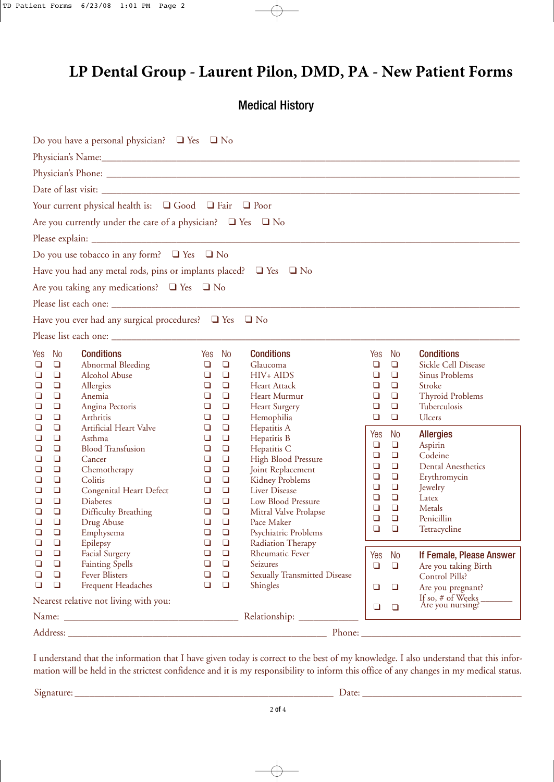## **LP Dental Group - Laurent Pilon, DMD, PA - New Patient Forms**

Medical History

|                                                |                                                                                                            | Do you have a personal physician? $\Box$ Yes $\Box$ No                                                                                                                                             |                                                                                                                                                                                                                          |                                                                                                                                                                                                                                    |                                                                                          |                                                                                                     |                                                                                                                                                 |
|------------------------------------------------|------------------------------------------------------------------------------------------------------------|----------------------------------------------------------------------------------------------------------------------------------------------------------------------------------------------------|--------------------------------------------------------------------------------------------------------------------------------------------------------------------------------------------------------------------------|------------------------------------------------------------------------------------------------------------------------------------------------------------------------------------------------------------------------------------|------------------------------------------------------------------------------------------|-----------------------------------------------------------------------------------------------------|-------------------------------------------------------------------------------------------------------------------------------------------------|
|                                                |                                                                                                            |                                                                                                                                                                                                    |                                                                                                                                                                                                                          |                                                                                                                                                                                                                                    |                                                                                          |                                                                                                     |                                                                                                                                                 |
|                                                |                                                                                                            |                                                                                                                                                                                                    |                                                                                                                                                                                                                          |                                                                                                                                                                                                                                    |                                                                                          |                                                                                                     |                                                                                                                                                 |
|                                                |                                                                                                            |                                                                                                                                                                                                    |                                                                                                                                                                                                                          |                                                                                                                                                                                                                                    |                                                                                          |                                                                                                     |                                                                                                                                                 |
|                                                |                                                                                                            | Your current physical health is: Q Good Q Fair Q Poor                                                                                                                                              |                                                                                                                                                                                                                          |                                                                                                                                                                                                                                    |                                                                                          |                                                                                                     |                                                                                                                                                 |
|                                                |                                                                                                            | Are you currently under the care of a physician? $\Box$ Yes $\Box$ No                                                                                                                              |                                                                                                                                                                                                                          |                                                                                                                                                                                                                                    |                                                                                          |                                                                                                     |                                                                                                                                                 |
|                                                |                                                                                                            |                                                                                                                                                                                                    |                                                                                                                                                                                                                          |                                                                                                                                                                                                                                    |                                                                                          |                                                                                                     |                                                                                                                                                 |
|                                                |                                                                                                            | Do you use tobacco in any form? $\Box$ Yes $\Box$ No                                                                                                                                               |                                                                                                                                                                                                                          |                                                                                                                                                                                                                                    |                                                                                          |                                                                                                     |                                                                                                                                                 |
|                                                |                                                                                                            | Have you had any metal rods, pins or implants placed? $\Box$ Yes $\Box$ No                                                                                                                         |                                                                                                                                                                                                                          |                                                                                                                                                                                                                                    |                                                                                          |                                                                                                     |                                                                                                                                                 |
|                                                |                                                                                                            | Are you taking any medications? $\Box$ Yes $\Box$ No                                                                                                                                               |                                                                                                                                                                                                                          |                                                                                                                                                                                                                                    |                                                                                          |                                                                                                     |                                                                                                                                                 |
|                                                |                                                                                                            |                                                                                                                                                                                                    |                                                                                                                                                                                                                          |                                                                                                                                                                                                                                    |                                                                                          |                                                                                                     |                                                                                                                                                 |
|                                                |                                                                                                            | Have you ever had any surgical procedures? $\Box$ Yes $\Box$ No                                                                                                                                    |                                                                                                                                                                                                                          |                                                                                                                                                                                                                                    |                                                                                          |                                                                                                     |                                                                                                                                                 |
|                                                |                                                                                                            |                                                                                                                                                                                                    |                                                                                                                                                                                                                          |                                                                                                                                                                                                                                    |                                                                                          |                                                                                                     |                                                                                                                                                 |
| Yes<br>⊔<br>$\Box$<br>❏<br>❏<br>❏<br>❏<br>❏    | <b>No</b><br>$\Box$<br>$\Box$<br>$\Box$<br>$\Box$<br>$\Box$<br>$\Box$<br>$\Box$                            | <b>Conditions</b><br>Abnormal Bleeding<br>Alcohol Abuse<br>Allergies<br>Anemia<br>Angina Pectoris<br>Arthritis<br>Artificial Heart Valve                                                           | No<br>Yes<br>$\Box$<br>$\Box$<br>$\Box$<br>$\Box$<br>$\Box$<br>$\Box$<br>$\Box$<br>$\Box$<br>$\Box$<br>$\Box$<br>$\Box$<br>$\Box$<br>$\Box$<br>$\Box$                                                                    | <b>Conditions</b><br>Glaucoma<br>HIV+ AIDS<br><b>Heart Attack</b><br>Heart Murmur<br><b>Heart Surgery</b><br>Hemophilia<br>Hepatitis A                                                                                             | Yes<br>❏<br>$\Box$<br>$\Box$<br>$\Box$<br>$\Box$<br>$\Box$                               | No<br>$\Box$<br>$\Box$<br>$\Box$<br>$\Box$<br>$\Box$<br>$\Box$                                      | <b>Conditions</b><br><b>Sickle Cell Disease</b><br><b>Sinus Problems</b><br>Stroke<br><b>Thyroid Problems</b><br>Tuberculosis<br>Ulcers         |
| ❏<br>❏<br>❏<br>❏<br>❏<br>❏<br>❏<br>❏<br>❏<br>❏ | $\Box$<br>$\Box$<br>$\Box$<br>$\Box$<br>$\Box$<br>$\Box$<br>$\Box$<br>$\Box$<br>$\Box$<br>$\Box$<br>$\Box$ | Asthma<br><b>Blood Transfusion</b><br>Cancer<br>Chemotherapy<br>Colitis<br><b>Congenital Heart Defect</b><br><b>Diabetes</b><br><b>Difficulty Breathing</b><br>Drug Abuse<br>Emphysema<br>Epilepsy | $\Box$<br>$\Box$<br>$\Box$<br>$\Box$<br>$\Box$<br>$\Box$<br>$\Box$<br>$\Box$<br>$\Box$<br>$\Box$<br>$\Box$<br>$\Box$<br>$\Box$<br>$\Box$<br>$\Box$<br>$\Box$<br>$\Box$<br>$\Box$<br>$\Box$<br>$\Box$<br>$\Box$<br>$\Box$ | Hepatitis B<br>Hepatitis C<br><b>High Blood Pressure</b><br>Joint Replacement<br><b>Kidney Problems</b><br>Liver Disease<br>Low Blood Pressure<br>Mitral Valve Prolapse<br>Pace Maker<br>Psychiatric Problems<br>Radiation Therapy | Yes<br>$\Box$<br>$\Box$<br>$\Box$<br>$\Box$<br>$\Box$<br>$\Box$<br>$\Box$<br>$\Box$<br>□ | <b>No</b><br>$\Box$<br>$\Box$<br>$\Box$<br>$\Box$<br>$\Box$<br>$\Box$<br>$\Box$<br>$\Box$<br>$\Box$ | <b>Allergies</b><br>Aspirin<br>Codeine<br><b>Dental Anesthetics</b><br>Erythromycin<br>Jewelry<br>Latex<br>Metals<br>Penicillin<br>Tetracycline |
| $\Box$<br>$\Box$<br>$\Box$<br>$\Box$           | $\Box$<br>$\Box$<br>$\Box$<br>$\Box$                                                                       | <b>Facial Surgery</b><br><b>Fainting Spells</b><br><b>Fever Blisters</b><br><b>Frequent Headaches</b>                                                                                              | $\Box$<br>$\Box$<br>$\Box$<br>$\Box$<br>$\Box$<br>$\Box$<br>$\Box$<br>$\Box$                                                                                                                                             | <b>Rheumatic Fever</b><br>Seizures<br>Sexually Transmitted Disease<br>Shingles                                                                                                                                                     | Yes<br>$\Box$<br>$\Box$                                                                  | No<br>$\Box$<br>$\Box$                                                                              | If Female, Please Answer<br>Are you taking Birth<br>Control Pills?<br>Are you pregnant?                                                         |
|                                                |                                                                                                            | Nearest relative not living with you:                                                                                                                                                              |                                                                                                                                                                                                                          |                                                                                                                                                                                                                                    | $\Box$                                                                                   | $\Box$                                                                                              | If so, # of Weeks<br>Are you nursing?                                                                                                           |
|                                                |                                                                                                            |                                                                                                                                                                                                    |                                                                                                                                                                                                                          |                                                                                                                                                                                                                                    |                                                                                          |                                                                                                     |                                                                                                                                                 |
|                                                |                                                                                                            |                                                                                                                                                                                                    |                                                                                                                                                                                                                          |                                                                                                                                                                                                                                    |                                                                                          |                                                                                                     |                                                                                                                                                 |

I understand that the information that I have given today is correct to the best of my knowledge. I also understand that this information will be held in the strictest confidence and it is my responsibility to inform this office of any changes in my medical status.

Signature: \_\_\_\_\_\_\_\_\_\_\_\_\_\_\_\_\_\_\_\_\_\_\_\_\_\_\_\_\_\_\_\_\_\_\_\_\_\_\_\_\_\_\_\_\_\_\_\_\_\_\_\_ Date: \_\_\_\_\_\_\_\_\_\_\_\_\_\_\_\_\_\_\_\_\_\_\_\_\_\_\_\_\_\_\_\_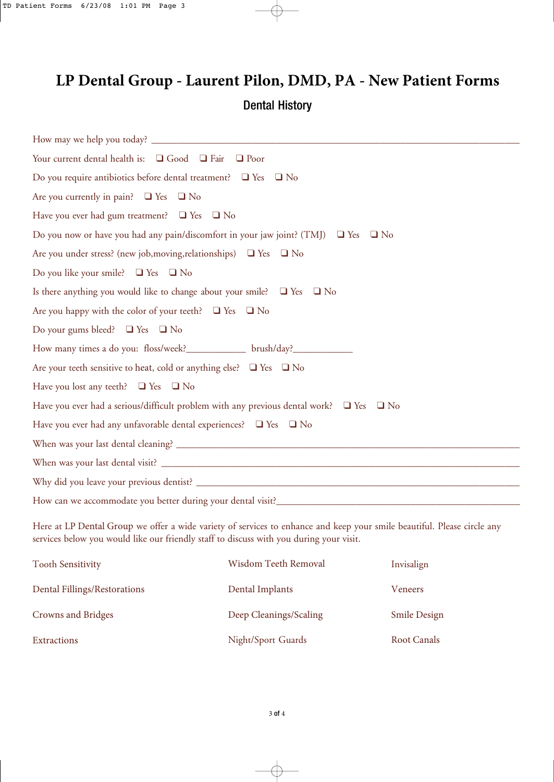# **LP Dental Group - Laurent Pilon, DMD, PA - New Patient Forms**  Dental History

| Your current dental health is: $\Box$ Good $\Box$ Fair $\Box$ Poor                                |
|---------------------------------------------------------------------------------------------------|
| Do you require antibiotics before dental treatment? $\Box$ Yes $\Box$ No                          |
| Are you currently in pain? $\Box$ Yes $\Box$ No                                                   |
| Have you ever had gum treatment? $\Box$ Yes $\Box$ No                                             |
| Do you now or have you had any pain/discomfort in your jaw joint? (TMJ) $\Box$ Yes $\Box$ No      |
| Are you under stress? (new job, moving, relationships) $\Box$ Yes $\Box$ No                       |
| Do you like your smile? $\Box$ Yes $\Box$ No                                                      |
| Is there anything you would like to change about your smile? $\Box$ Yes $\Box$ No                 |
| Are you happy with the color of your teeth? $\Box$ Yes $\Box$ No                                  |
| Do your gums bleed? $\Box$ Yes $\Box$ No                                                          |
| How many times a do you: floss/week?_______________ brush/day?__________________                  |
| Are your teeth sensitive to heat, cold or anything else? $\Box$ Yes $\Box$ No                     |
| Have you lost any teeth? $\Box$ Yes $\Box$ No                                                     |
| Have you ever had a serious/difficult problem with any previous dental work? $\Box$ Yes $\Box$ No |
| Have you ever had any unfavorable dental experiences? $\Box$ Yes $\Box$ No                        |
|                                                                                                   |
|                                                                                                   |
|                                                                                                   |
|                                                                                                   |

Here at LP Dental Group we offer a wide variety of services to enhance and keep your smile beautiful. Please circle any services below you would like our friendly staff to discuss with you during your visit.

| <b>Tooth Sensitivity</b>     | <b>Wisdom Teeth Removal</b> | Invisalign          |
|------------------------------|-----------------------------|---------------------|
| Dental Fillings/Restorations | Dental Implants             | Veneers             |
| <b>Crowns and Bridges</b>    | Deep Cleanings/Scaling      | <b>Smile Design</b> |
| <b>Extractions</b>           | Night/Sport Guards          | Root Canals         |